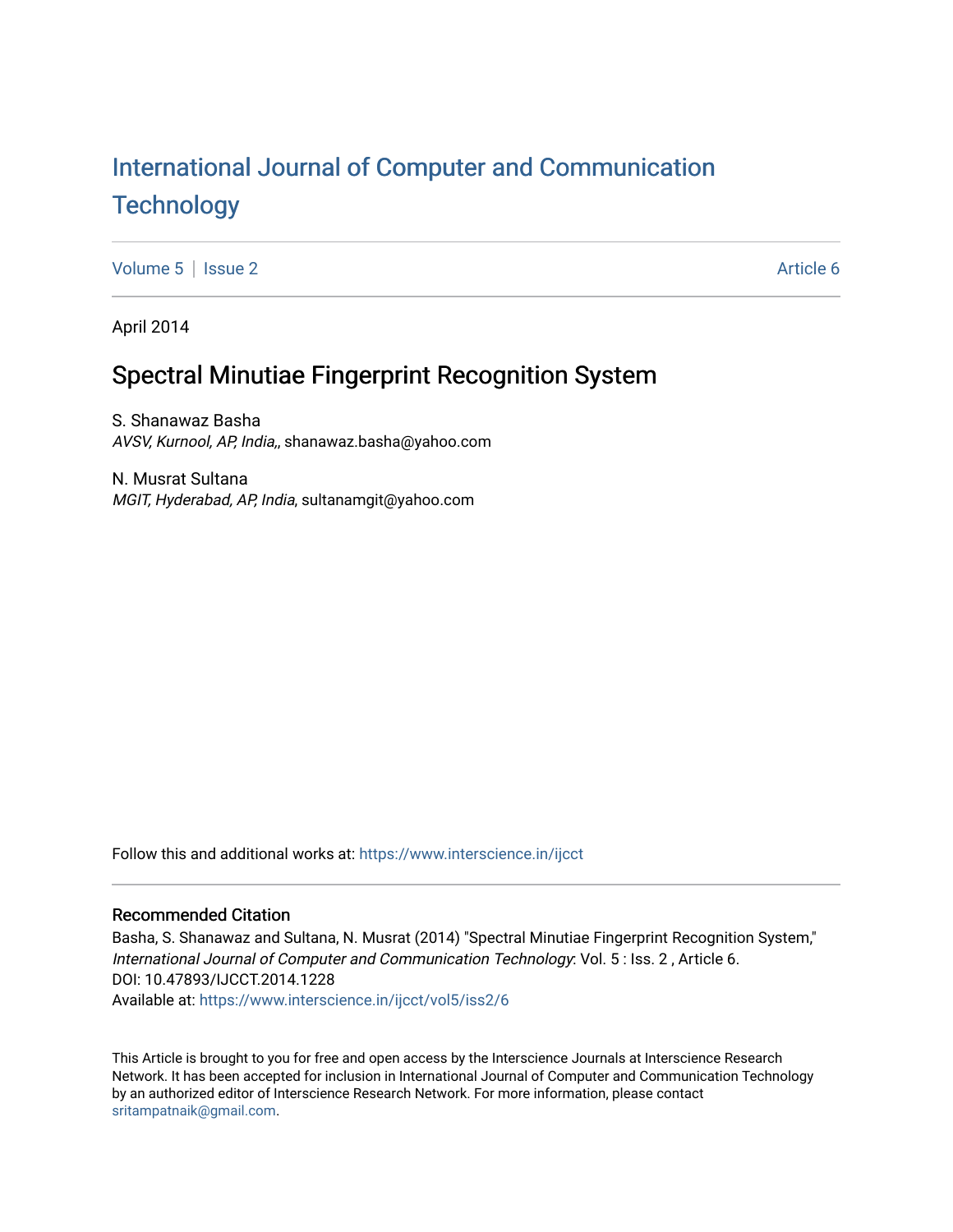# [International Journal of Computer and Communication](https://www.interscience.in/ijcct)  **Technology**

[Volume 5](https://www.interscience.in/ijcct/vol5) | [Issue 2](https://www.interscience.in/ijcct/vol5/iss2) Article 6

April 2014

# Spectral Minutiae Fingerprint Recognition System

S. Shanawaz Basha AVSV, Kurnool, AP, India,, shanawaz.basha@yahoo.com

N. Musrat Sultana MGIT, Hyderabad, AP, India, sultanamgit@yahoo.com

Follow this and additional works at: [https://www.interscience.in/ijcct](https://www.interscience.in/ijcct?utm_source=www.interscience.in%2Fijcct%2Fvol5%2Fiss2%2F6&utm_medium=PDF&utm_campaign=PDFCoverPages)

# Recommended Citation

Basha, S. Shanawaz and Sultana, N. Musrat (2014) "Spectral Minutiae Fingerprint Recognition System," International Journal of Computer and Communication Technology: Vol. 5 : Iss. 2 , Article 6. DOI: 10.47893/IJCCT.2014.1228 Available at: [https://www.interscience.in/ijcct/vol5/iss2/6](https://www.interscience.in/ijcct/vol5/iss2/6?utm_source=www.interscience.in%2Fijcct%2Fvol5%2Fiss2%2F6&utm_medium=PDF&utm_campaign=PDFCoverPages)

This Article is brought to you for free and open access by the Interscience Journals at Interscience Research Network. It has been accepted for inclusion in International Journal of Computer and Communication Technology by an authorized editor of Interscience Research Network. For more information, please contact [sritampatnaik@gmail.com](mailto:sritampatnaik@gmail.com).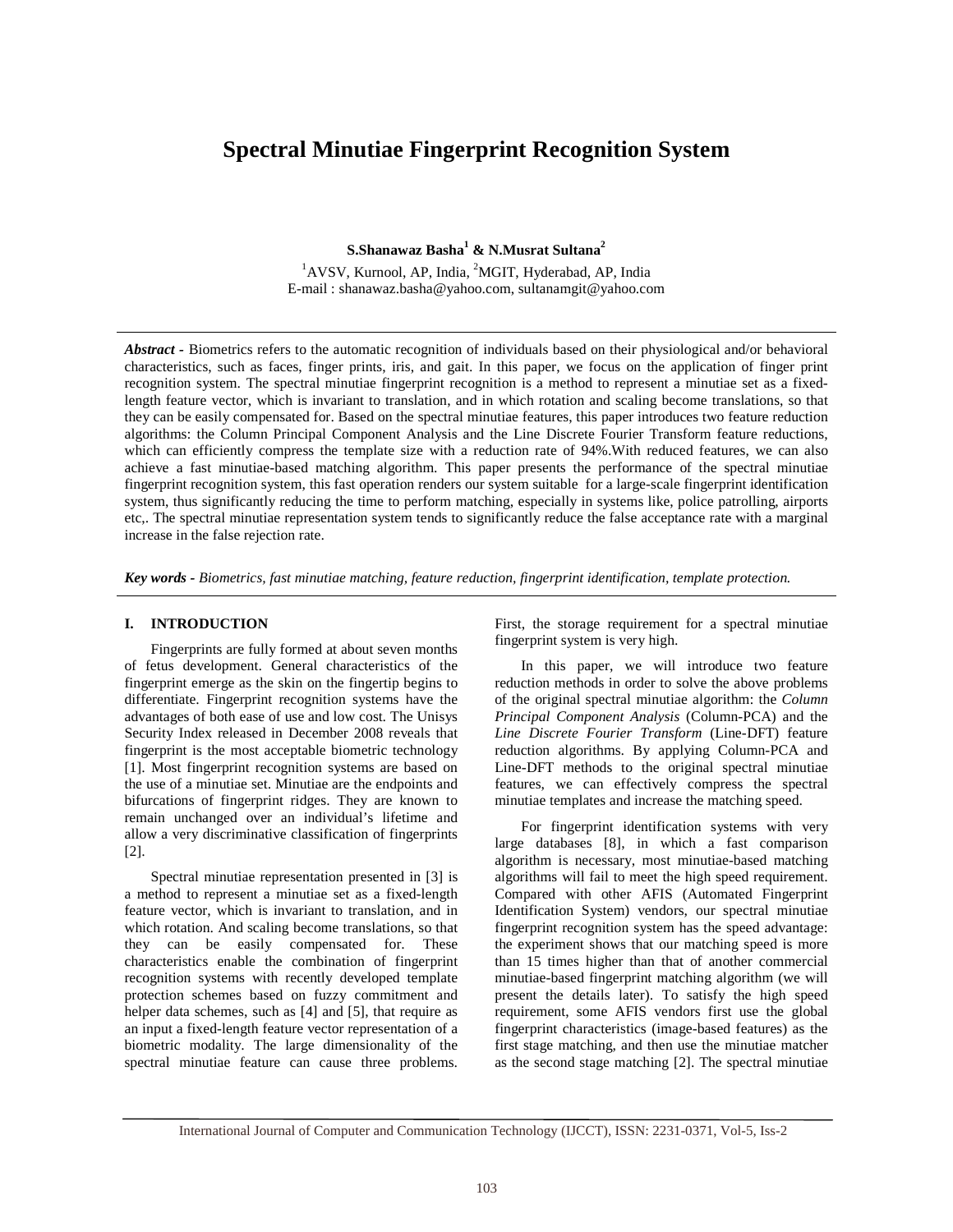# **Spectral Minutiae Fingerprint Recognition System**

**S.Shanawaz Basha<sup>1</sup> & N.Musrat Sultana<sup>2</sup>**

<sup>1</sup>AVSV, Kurnool, AP, India, <sup>2</sup>MGIT, Hyderabad, AP, India E-mail : shanawaz.basha@yahoo.com, sultanamgit@yahoo.com

*Abstract -* Biometrics refers to the automatic recognition of individuals based on their physiological and/or behavioral characteristics, such as faces, finger prints, iris, and gait. In this paper, we focus on the application of finger print recognition system. The spectral minutiae fingerprint recognition is a method to represent a minutiae set as a fixedlength feature vector, which is invariant to translation, and in which rotation and scaling become translations, so that they can be easily compensated for. Based on the spectral minutiae features, this paper introduces two feature reduction algorithms: the Column Principal Component Analysis and the Line Discrete Fourier Transform feature reductions, which can efficiently compress the template size with a reduction rate of 94%. With reduced features, we can also achieve a fast minutiae-based matching algorithm. This paper presents the performance of the spectral minutiae fingerprint recognition system, this fast operation renders our system suitable for a large-scale fingerprint identification system, thus significantly reducing the time to perform matching, especially in systems like, police patrolling, airports etc,. The spectral minutiae representation system tends to significantly reduce the false acceptance rate with a marginal increase in the false rejection rate.

*Key words - Biometrics, fast minutiae matching, feature reduction, fingerprint identification, template protection.*

#### **I. INTRODUCTION**

 Fingerprints are fully formed at about seven months of fetus development. General characteristics of the fingerprint emerge as the skin on the fingertip begins to differentiate. Fingerprint recognition systems have the advantages of both ease of use and low cost. The Unisys Security Index released in December 2008 reveals that fingerprint is the most acceptable biometric technology [1]. Most fingerprint recognition systems are based on the use of a minutiae set. Minutiae are the endpoints and bifurcations of fingerprint ridges. They are known to remain unchanged over an individual's lifetime and allow a very discriminative classification of fingerprints [2].

 Spectral minutiae representation presented in [3] is a method to represent a minutiae set as a fixed-length feature vector, which is invariant to translation, and in which rotation. And scaling become translations, so that they can be easily compensated for. These characteristics enable the combination of fingerprint recognition systems with recently developed template protection schemes based on fuzzy commitment and helper data schemes, such as [4] and [5], that require as an input a fixed-length feature vector representation of a biometric modality. The large dimensionality of the spectral minutiae feature can cause three problems.

First, the storage requirement for a spectral minutiae fingerprint system is very high.

 In this paper, we will introduce two feature reduction methods in order to solve the above problems of the original spectral minutiae algorithm: the *Column Principal Component Analysis* (Column-PCA) and the *Line Discrete Fourier Transform* (Line-DFT) feature reduction algorithms. By applying Column-PCA and Line-DFT methods to the original spectral minutiae features, we can effectively compress the spectral minutiae templates and increase the matching speed.

 For fingerprint identification systems with very large databases [8], in which a fast comparison algorithm is necessary, most minutiae-based matching algorithms will fail to meet the high speed requirement. Compared with other AFIS (Automated Fingerprint Identification System) vendors, our spectral minutiae fingerprint recognition system has the speed advantage: the experiment shows that our matching speed is more than 15 times higher than that of another commercial minutiae-based fingerprint matching algorithm (we will present the details later). To satisfy the high speed requirement, some AFIS vendors first use the global fingerprint characteristics (image-based features) as the first stage matching, and then use the minutiae matcher as the second stage matching [2]. The spectral minutiae

International Journal of Computer and Communication Technology (IJCCT), ISSN: 2231-0371, Vol-5, Iss-2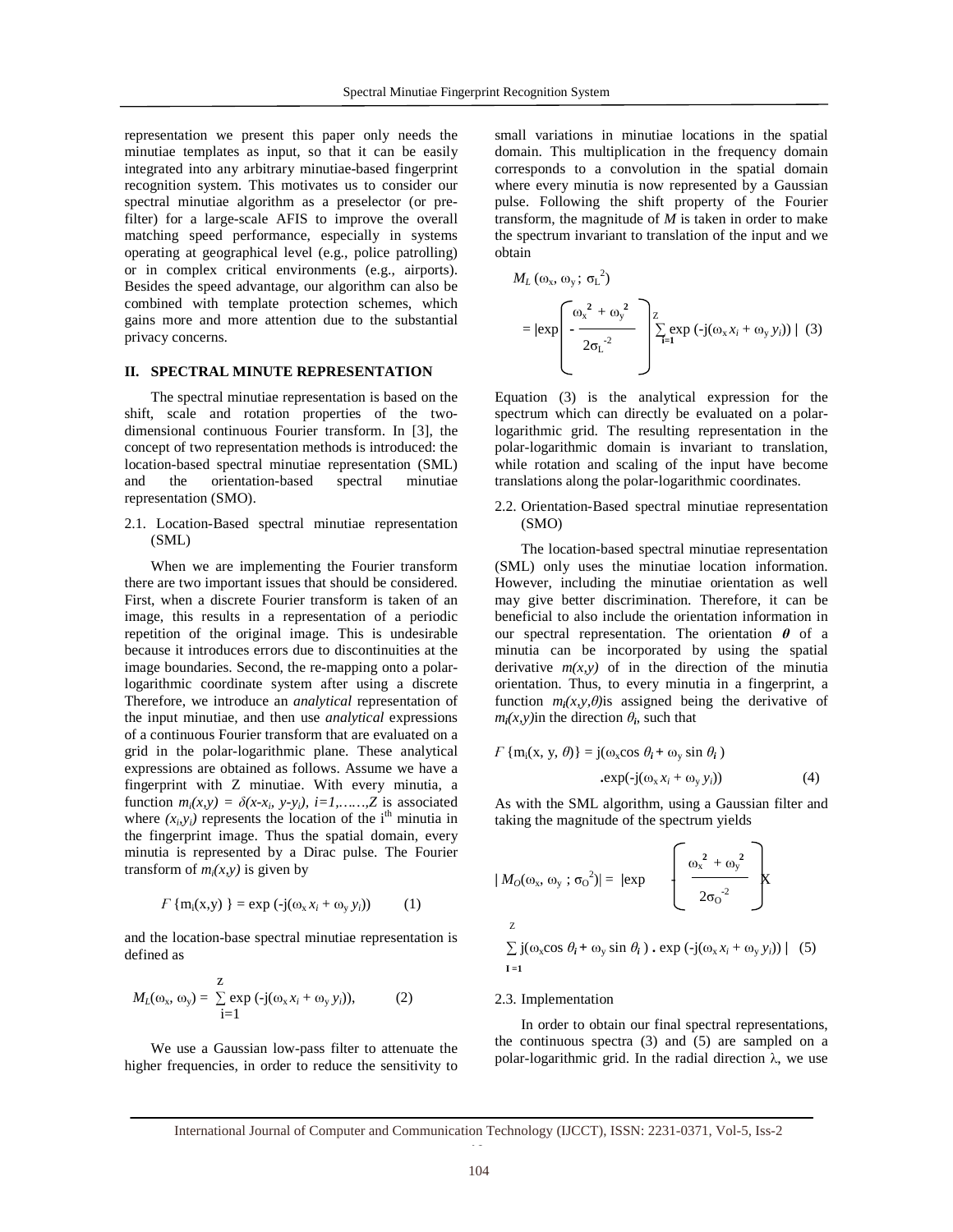representation we present this paper only needs the minutiae templates as input, so that it can be easily integrated into any arbitrary minutiae-based fingerprint recognition system. This motivates us to consider our spectral minutiae algorithm as a preselector (or prefilter) for a large-scale AFIS to improve the overall matching speed performance, especially in systems operating at geographical level (e.g., police patrolling) or in complex critical environments (e.g., airports). Besides the speed advantage, our algorithm can also be combined with template protection schemes, which gains more and more attention due to the substantial privacy concerns.

#### **II. SPECTRAL MINUTE REPRESENTATION**

 The spectral minutiae representation is based on the shift, scale and rotation properties of the twodimensional continuous Fourier transform. In [3], the concept of two representation methods is introduced: the location-based spectral minutiae representation (SML) and the orientation-based spectral minutiae representation (SMO).

2.1. Location-Based spectral minutiae representation (SML)

 When we are implementing the Fourier transform there are two important issues that should be considered. First, when a discrete Fourier transform is taken of an image, this results in a representation of a periodic repetition of the original image. This is undesirable because it introduces errors due to discontinuities at the image boundaries. Second, the re-mapping onto a polarlogarithmic coordinate system after using a discrete Therefore, we introduce an *analytical* representation of the input minutiae, and then use *analytical* expressions of a continuous Fourier transform that are evaluated on a grid in the polar-logarithmic plane. These analytical expressions are obtained as follows. Assume we have a fingerprint with Z minutiae. With every minutia, a function  $m_i(x, y) = \delta(x-x_i, y-y_i)$ ,  $i=1, \ldots, Z$  is associated where  $(x_i, y_i)$  represents the location of the i<sup>th</sup> minutia in the fingerprint image. Thus the spatial domain, every minutia is represented by a Dirac pulse. The Fourier transform of  $m_i(x, y)$  is given by

$$
F\left\{\mathbf{m}_i(\mathbf{x}, \mathbf{y})\right\} = \exp\left(-j(\omega_{\mathbf{x}} x_i + \omega_{\mathbf{y}} y_i)\right) \tag{1}
$$

and the location-base spectral minutiae representation is defined as

$$
M_L(\omega_x, \omega_y) = \sum_{i=1}^{Z} \exp(-j(\omega_x x_i + \omega_y y_i)), \qquad (2)
$$

 We use a Gaussian low-pass filter to attenuate the higher frequencies, in order to reduce the sensitivity to small variations in minutiae locations in the spatial domain. This multiplication in the frequency domain corresponds to a convolution in the spatial domain where every minutia is now represented by a Gaussian pulse. Following the shift property of the Fourier transform, the magnitude of *M* is taken in order to make the spectrum invariant to translation of the input and we obtain

$$
M_L(\omega_x, \omega_y; \sigma_L^2)
$$
  
=  $|\exp\left(-\frac{\omega_x^2 + \omega_y^2}{2{\sigma_L}^2}\right) \sum_{i=1}^{Z} \exp\left(-j(\omega_x x_i + \omega_y y_i)\right) | (3)$ 

Equation (3) is the analytical expression for the spectrum which can directly be evaluated on a polarlogarithmic grid. The resulting representation in the polar-logarithmic domain is invariant to translation, while rotation and scaling of the input have become translations along the polar-logarithmic coordinates.

2.2. Orientation-Based spectral minutiae representation (SMO)

 The location-based spectral minutiae representation (SML) only uses the minutiae location information. However, including the minutiae orientation as well may give better discrimination. Therefore, it can be beneficial to also include the orientation information in our spectral representation. The orientation  $\theta$  of a minutia can be incorporated by using the spatial derivative  $m(x, y)$  of in the direction of the minutia orientation. Thus, to every minutia in a fingerprint, a function  $m_i(x, y, \theta)$  is assigned being the derivative of  $m_i(x, y)$  in the direction  $\theta_i$ , such that

$$
F\left\{\mathbf{m}_{i}(\mathbf{x}, \mathbf{y}, \theta)\right\} = \mathbf{j}(\omega_{\mathbf{x}}\cos\theta_{i} + \omega_{\mathbf{y}}\sin\theta_{i})
$$
  
.exp(-j( $\omega_{\mathbf{x}}x_{i} + \omega_{\mathbf{y}}y_{i}$ )) (4)

As with the SML algorithm, using a Gaussian filter and taking the magnitude of the spectrum yields

$$
|M_O(\omega_x, \omega_y; \sigma_0^2)| = |\exp \left\{\begin{array}{c} \omega_x^2 + \omega_y^2\\ 2{\sigma_0}^2 \end{array}\right\}
$$

z

 $\sum$  j( $\omega_x \cos \theta_i + \omega_y \sin \theta_i$ ) **.** exp  $(\neg j(\omega_x x_i + \omega_y y_i))$  | (5)  $I = 1$ 

#### 2.3. Implementation

 In order to obtain our final spectral representations, the continuous spectra (3) and (5) are sampled on a polar-logarithmic grid. In the radial direction λ, we use

 $\ddot{\phantom{0}}$ International Journal of Computer and Communication Technology (IJCCT), ISSN: 2231-0371, Vol-5, Iss-2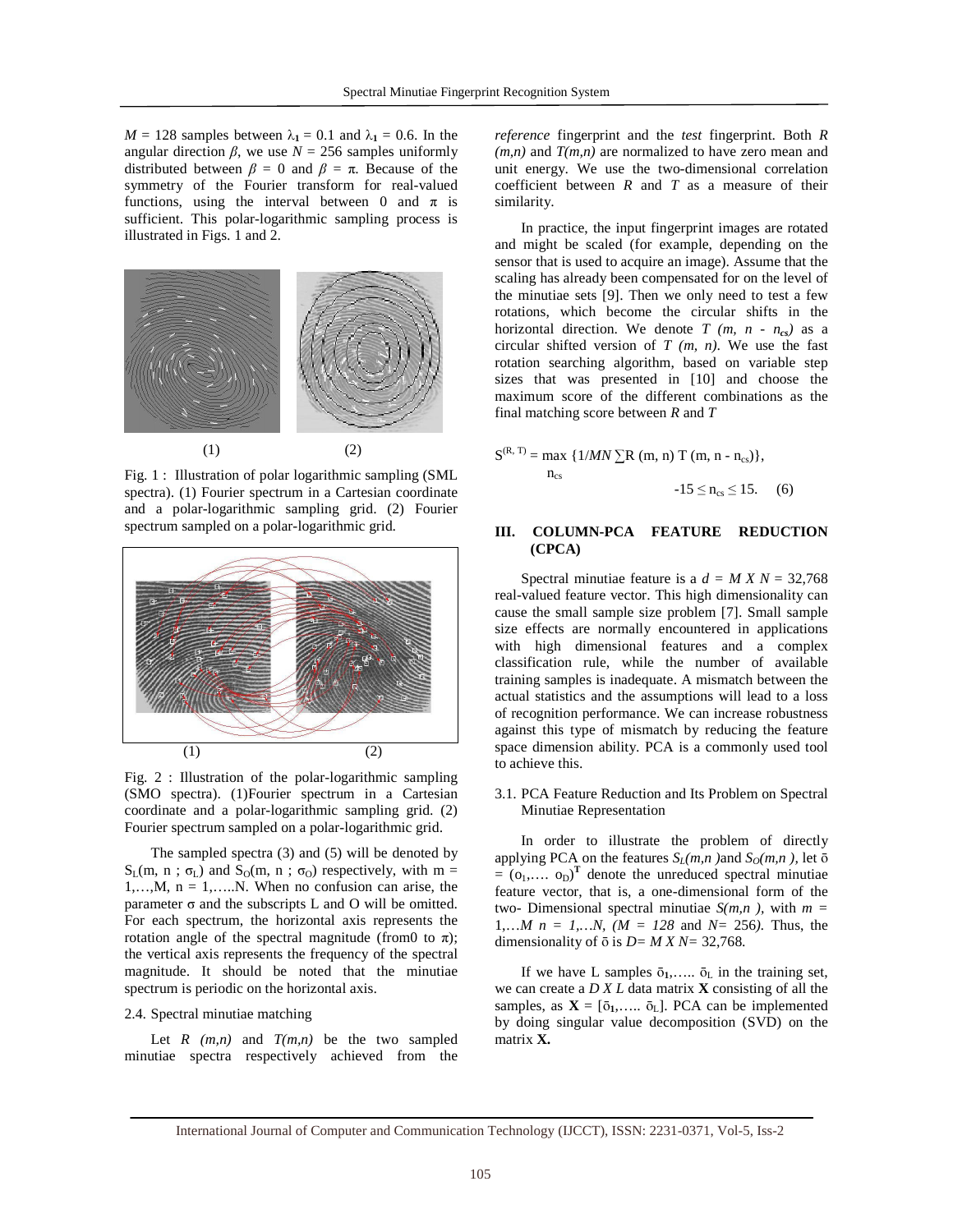$M = 128$  samples between  $\lambda_1 = 0.1$  and  $\lambda_1 = 0.6$ . In the angular direction  $\beta$ , we use  $N = 256$  samples uniformly distributed between  $\beta = 0$  and  $\beta = \pi$ . Because of the symmetry of the Fourier transform for real-valued functions, using the interval between 0 and  $\pi$  is sufficient. This polar-logarithmic sampling process is illustrated in Figs. 1 and 2.



Fig. 1 : Illustration of polar logarithmic sampling (SML spectra). (1) Fourier spectrum in a Cartesian coordinate and a polar-logarithmic sampling grid. (2) Fourier spectrum sampled on a polar-logarithmic grid.



Fig. 2 : Illustration of the polar-logarithmic sampling (SMO spectra). (1)Fourier spectrum in a Cartesian coordinate and a polar-logarithmic sampling grid. (2) Fourier spectrum sampled on a polar-logarithmic grid.

 The sampled spectra (3) and (5) will be denoted by  $S_L(m, n; \sigma_L)$  and  $S_O(m, n; \sigma_O)$  respectively, with m = 1,...,  $M$ ,  $n = 1$ ,....,  $N$ . When no confusion can arise, the parameter σ and the subscripts L and O will be omitted. For each spectrum, the horizontal axis represents the rotation angle of the spectral magnitude (from to  $\pi$ ); the vertical axis represents the frequency of the spectral magnitude. It should be noted that the minutiae spectrum is periodic on the horizontal axis.

#### 2.4. Spectral minutiae matching

Let  $R(m,n)$  and  $T(m,n)$  be the two sampled minutiae spectra respectively achieved from the *reference* fingerprint and the *test* fingerprint. Both *R*   $(m,n)$  and  $T(m,n)$  are normalized to have zero mean and unit energy. We use the two-dimensional correlation coefficient between *R* and *T* as a measure of their similarity.

 In practice, the input fingerprint images are rotated and might be scaled (for example, depending on the sensor that is used to acquire an image). Assume that the scaling has already been compensated for on the level of the minutiae sets [9]. Then we only need to test a few rotations, which become the circular shifts in the horizontal direction. We denote  $T(m, n - n_{cs})$  as a circular shifted version of *T (m, n)*. We use the fast rotation searching algorithm, based on variable step sizes that was presented in [10] and choose the maximum score of the different combinations as the final matching score between *R* and *T*

$$
S^{(R, T)} = \max \{ 1/MN \sum R (m, n) T (m, n - n_{cs}) \},
$$
  
n<sub>cs</sub> -15  $\leq n_{cs} \leq 15$ . (6)

# **III. COLUMN-PCA FEATURE REDUCTION (CPCA)**

Spectral minutiae feature is a  $d = M X N = 32,768$ real-valued feature vector. This high dimensionality can cause the small sample size problem [7]. Small sample size effects are normally encountered in applications with high dimensional features and a complex classification rule, while the number of available training samples is inadequate. A mismatch between the actual statistics and the assumptions will lead to a loss of recognition performance. We can increase robustness against this type of mismatch by reducing the feature space dimension ability. PCA is a commonly used tool to achieve this.

## 3.1. PCA Feature Reduction and Its Problem on Spectral Minutiae Representation

 In order to illustrate the problem of directly applying PCA on the features  $S_L(m, n)$  and  $S_O(m, n)$ , let  $\overline{o}$  $=$  ( $o_1$ ,....  $o_D$ )<sup>T</sup> denote the unreduced spectral minutiae feature vector, that is, a one-dimensional form of the two- Dimensional spectral minutiae  $S(m, n)$ , with  $m =$ 1,...*M*  $n = 1,...N$ ,  $(M = 128$  and  $N = 256$ *)*. Thus, the dimensionality of  $\bar{o}$  is  $D = MXN = 32,768$ .

If we have L samples  $\bar{o}_1$ ,  $\ldots$   $\bar{o}_L$  in the training set, we can create a *D X L* data matrix **X** consisting of all the samples, as  $X = [\bar{\mathfrak{d}}_1, \dots, \bar{\mathfrak{d}}_L]$ . PCA can be implemented by doing singular value decomposition (SVD) on the matrix **X.**

International Journal of Computer and Communication Technology (IJCCT), ISSN: 2231-0371, Vol-5, Iss-2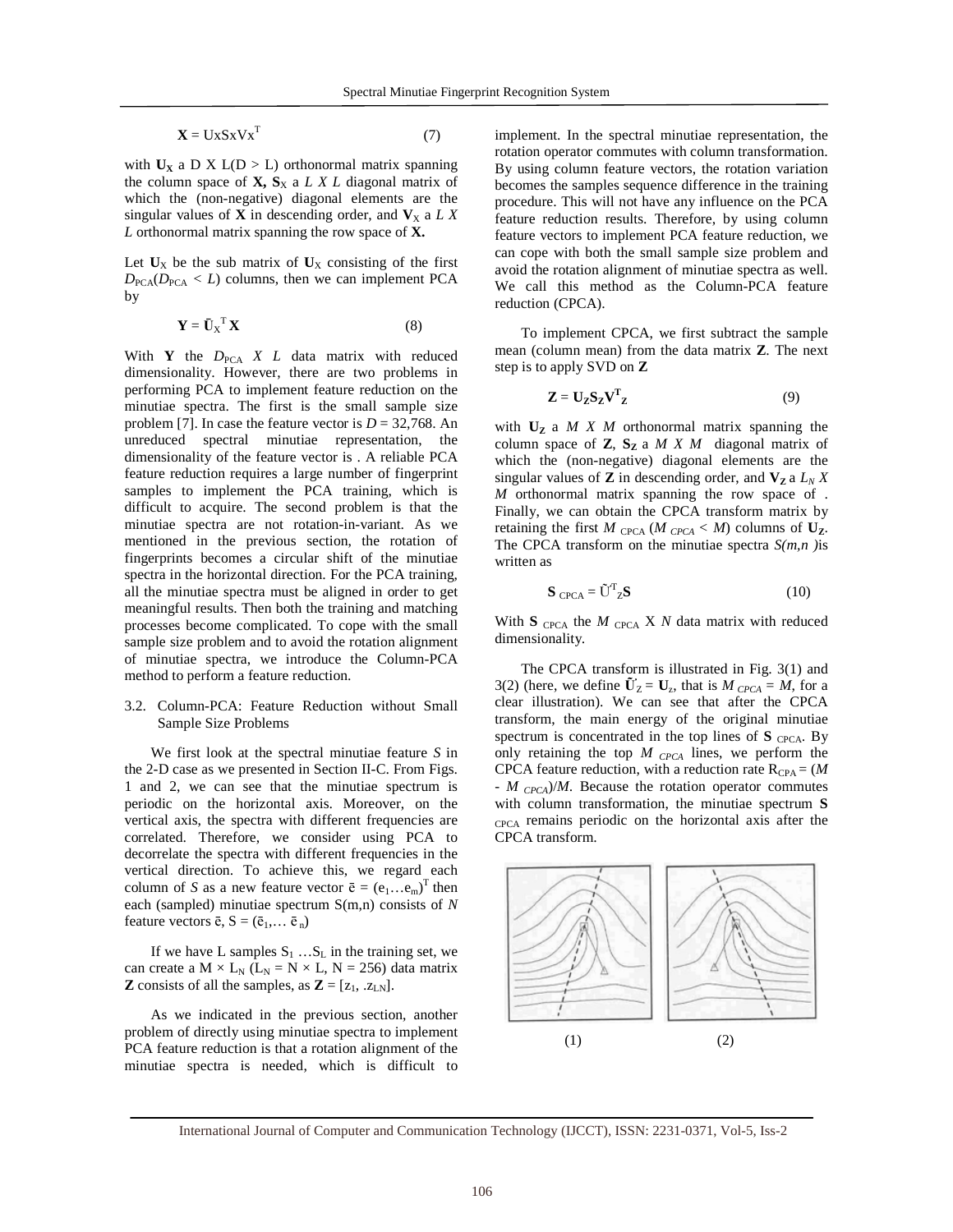$\mathbf{X} = \mathbf{U} \mathbf{x} \mathbf{S} \mathbf{x} \mathbf{V} \mathbf{x}^{\mathrm{T}}$ (7)

with  $U_X$  a D X  $L(D > L)$  orthonormal matrix spanning the column space of  $X$ ,  $S_X$  a *L X L* diagonal matrix of which the (non-negative) diagonal elements are the singular values of **X** in descending order, and  $V_X$  a *LX L* orthonormal matrix spanning the row space of **X.**

Let  $U_X$  be the sub matrix of  $U_X$  consisting of the first  $D_{\text{PCA}}(D_{\text{PCA}} < L)$  columns, then we can implement PCA by

$$
\mathbf{Y} = \mathbf{\bar{U}}_{\mathbf{X}}^{\mathrm{T}} \mathbf{X} \tag{8}
$$

With **Y** the  $D_{PCA}$  *X L* data matrix with reduced dimensionality. However, there are two problems in performing PCA to implement feature reduction on the minutiae spectra. The first is the small sample size problem [7]. In case the feature vector is  $D = 32,768$ . An unreduced spectral minutiae representation, the dimensionality of the feature vector is . A reliable PCA feature reduction requires a large number of fingerprint samples to implement the PCA training, which is difficult to acquire. The second problem is that the minutiae spectra are not rotation-in-variant. As we mentioned in the previous section, the rotation of fingerprints becomes a circular shift of the minutiae spectra in the horizontal direction. For the PCA training, all the minutiae spectra must be aligned in order to get meaningful results. Then both the training and matching processes become complicated. To cope with the small sample size problem and to avoid the rotation alignment of minutiae spectra, we introduce the Column-PCA method to perform a feature reduction.

### 3.2. Column-PCA: Feature Reduction without Small Sample Size Problems

 We first look at the spectral minutiae feature *S* in the 2-D case as we presented in Section II-C. From Figs. 1 and 2, we can see that the minutiae spectrum is periodic on the horizontal axis. Moreover, on the vertical axis, the spectra with different frequencies are correlated. Therefore, we consider using PCA to decorrelate the spectra with different frequencies in the vertical direction. To achieve this, we regard each column of *S* as a new feature vector  $\bar{e} = (e_1...e_m)^T$  then each (sampled) minutiae spectrum S(m,n) consists of *N* feature vectors  $\bar{e}$ ,  $S = (\bar{e}_1, \dots, \bar{e}_n)$ 

If we have L samples  $S_1$  ... $S_L$  in the training set, we can create a  $M \times L_N$  ( $L_N = N \times L$ ,  $N = 256$ ) data matrix **Z** consists of all the samples, as  $\mathbf{Z} = [z_1, z_{LN}]$ .

 As we indicated in the previous section, another problem of directly using minutiae spectra to implement PCA feature reduction is that a rotation alignment of the minutiae spectra is needed, which is difficult to implement. In the spectral minutiae representation, the rotation operator commutes with column transformation. By using column feature vectors, the rotation variation becomes the samples sequence difference in the training procedure. This will not have any influence on the PCA feature reduction results. Therefore, by using column feature vectors to implement PCA feature reduction, we can cope with both the small sample size problem and avoid the rotation alignment of minutiae spectra as well. We call this method as the Column-PCA feature reduction (CPCA).

 To implement CPCA, we first subtract the sample mean (column mean) from the data matrix **Z**. The next step is to apply SVD on **Z**

$$
\mathbf{Z} = \mathbf{U}_{\mathbf{Z}} \mathbf{S}_{\mathbf{Z}} \mathbf{V}^{\mathbf{T}}_{\mathbf{Z}} \tag{9}
$$

with  $U_z$  a  $M X M$  orthonormal matrix spanning the column space of  $Z$ ,  $S_Z$  a  $M X M$  diagonal matrix of which the (non-negative) diagonal elements are the singular values of **Z** in descending order, and  $V_Z$  a  $L_N X$ *M* orthonormal matrix spanning the row space of . Finally, we can obtain the CPCA transform matrix by retaining the first *M*  $_{\text{CPCA}}$  (*M*  $_{\text{CPCA}}$  < *M*) columns of  $\mathbf{U}_{\mathbf{Z}}$ . The CPCA transform on the minutiae spectra *S(m,n )*is written as

$$
\mathbf{S}_{\text{CPCA}} = \tilde{\mathbf{U}}^{\text{T}}_{\text{Z}} \mathbf{S}
$$
 (10)

With  $S_{CPCA}$  the *M* <sub>CPCA</sub> *X N* data matrix with reduced dimensionality.

 The CPCA transform is illustrated in Fig. 3(1) and 3(2) (here, we define  $\tilde{U}_Z = U_z$ , that is  $M_{CPCA} = M$ , for a clear illustration). We can see that after the CPCA transform, the main energy of the original minutiae spectrum is concentrated in the top lines of  $S$  <sub>CPCA</sub>. By only retaining the top *M CPCA* lines, we perform the CPCA feature reduction, with a reduction rate  $R_{CPA} = (M \cdot R)$ *- M CPCA*)/*M*. Because the rotation operator commutes with column transformation, the minutiae spectrum **S** CPCA remains periodic on the horizontal axis after the CPCA transform.



International Journal of Computer and Communication Technology (IJCCT), ISSN: 2231-0371, Vol-5, Iss-2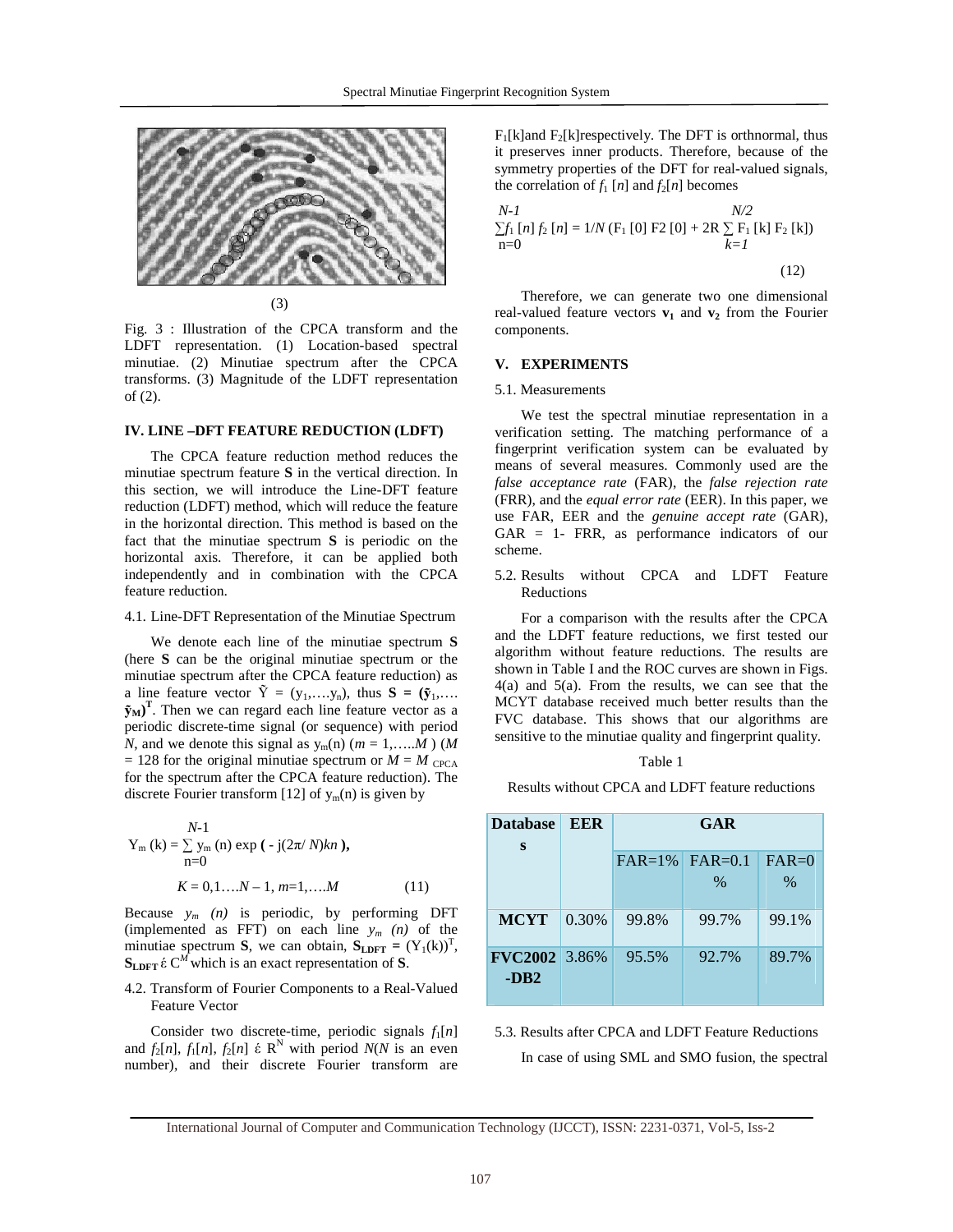

(3)

Fig. 3 : Illustration of the CPCA transform and the LDFT representation. (1) Location-based spectral minutiae. (2) Minutiae spectrum after the CPCA transforms. (3) Magnitude of the LDFT representation of (2).

#### **IV. LINE –DFT FEATURE REDUCTION (LDFT)**

 The CPCA feature reduction method reduces the minutiae spectrum feature **S** in the vertical direction. In this section, we will introduce the Line-DFT feature reduction (LDFT) method, which will reduce the feature in the horizontal direction. This method is based on the fact that the minutiae spectrum **S** is periodic on the horizontal axis. Therefore, it can be applied both independently and in combination with the CPCA feature reduction.

#### 4.1. Line-DFT Representation of the Minutiae Spectrum

 We denote each line of the minutiae spectrum **S** (here **S** can be the original minutiae spectrum or the minutiae spectrum after the CPCA feature reduction) as a line feature vector  $\tilde{Y} = (y_1,...,y_n)$ , thus  $S = (\tilde{y}_1,...,y_n)$  $(\mathbf{\tilde{y}}_M)^T$ . Then we can regard each line feature vector as a periodic discrete-time signal (or sequence) with period *N*, and we denote this signal as  $y_m(n)$  ( $m = 1, \ldots, M$ ) (*M*  $= 128$  for the original minutiae spectrum or  $M = M_{\text{CPCA}}$ for the spectrum after the CPCA feature reduction). The discrete Fourier transform [12] of  $y_m(n)$  is given by

$$
Y_{m} (k) = \sum_{n=0}^{N-1} y_{m} (n) \exp(-j(2\pi/N)kn),
$$
  

$$
K = 0, 1, ..., N-1, m=1, ..., M
$$
 (11)

Because  $y_m$  (n) is periodic, by performing DFT (implemented as FFT) on each line *ym (n)* of the minutiae spectrum **S**, we can obtain,  $S_{\text{LDFT}} = (Y_1(k))^T$ ,  $S_{\text{LDFT}}$  έ C<sup>M</sup> which is an exact representation of S.

#### 4.2. Transform of Fourier Components to a Real-Valued Feature Vector

Consider two discrete-time, periodic signals  $f_1[n]$ and  $f_2[n]$ ,  $f_1[n]$ ,  $f_2[n]$   $\in \mathbb{R}^N$  with period  $N(N)$  is an even number), and their discrete Fourier transform are

 $F_1[k]$ and  $F_2[k]$ respectively. The DFT is orthnormal, thus it preserves inner products. Therefore, because of the symmetry properties of the DFT for real-valued signals, the correlation of  $f_1$  [*n*] and  $f_2[n]$  becomes

$$
N-1
$$
  
\n
$$
\sum f_1 [n] f_2 [n] = 1/N (\mathbf{F}_1 [0] \mathbf{F}2 [0] + 2\mathbf{R} \sum_{k=1}^{N/2} \mathbf{F}_1 [k] \mathbf{F}_2 [k])
$$
  
\n
$$
n=0
$$
\n(12)

 Therefore, we can generate two one dimensional real-valued feature vectors  $v_1$  and  $v_2$  from the Fourier components.

#### **V. EXPERIMENTS**

#### 5.1. Measurements

 We test the spectral minutiae representation in a verification setting. The matching performance of a fingerprint verification system can be evaluated by means of several measures. Commonly used are the *false acceptance rate* (FAR), the *false rejection rate*  (FRR), and the *equal error rate* (EER). In this paper, we use FAR, EER and the *genuine accept rate* (GAR), GAR = 1- FRR, as performance indicators of our scheme.

5.2. Results without CPCA and LDFT Feature Reductions

 For a comparison with the results after the CPCA and the LDFT feature reductions, we first tested our algorithm without feature reductions. The results are shown in Table I and the ROC curves are shown in Figs. 4(a) and 5(a). From the results, we can see that the MCYT database received much better results than the FVC database. This shows that our algorithms are sensitive to the minutiae quality and fingerprint quality.

| ۰.<br>× |  |
|---------|--|
|---------|--|

Results without CPCA and LDFT feature reductions

| <b>Database</b>                | EER   | GAR       |           |         |
|--------------------------------|-------|-----------|-----------|---------|
| S                              |       | $FAR=1\%$ | $FAR=0.1$ | $FAR=0$ |
|                                |       |           | $\%$      | $\%$    |
| <b>MCYT</b>                    | 0.30% | 99.8%     | 99.7%     | 99.1%   |
| <b>FVC2002</b> 3.86%<br>$-DB2$ |       | 95.5%     | 92.7%     | 89.7%   |

5.3. Results after CPCA and LDFT Feature Reductions In case of using SML and SMO fusion, the spectral

International Journal of Computer and Communication Technology (IJCCT), ISSN: 2231-0371, Vol-5, Iss-2